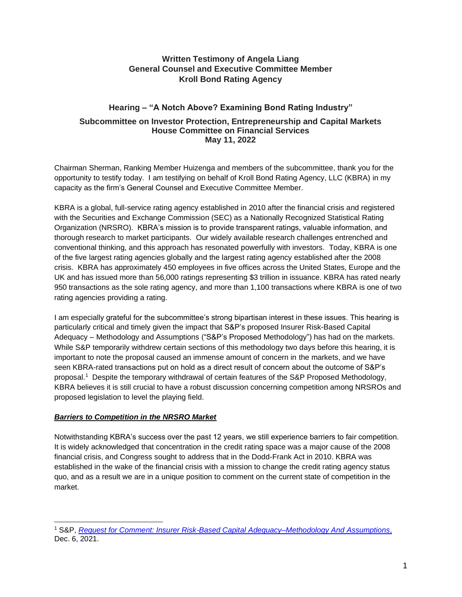## **Written Testimony of Angela Liang General Counsel and Executive Committee Member Kroll Bond Rating Agency**

# **Hearing – "A Notch Above? Examining Bond Rating Industry"**

### **Subcommittee on Investor Protection, Entrepreneurship and Capital Markets House Committee on Financial Services May 11, 2022**

Chairman Sherman, Ranking Member Huizenga and members of the subcommittee, thank you for the opportunity to testify today. I am testifying on behalf of Kroll Bond Rating Agency, LLC (KBRA) in my capacity as the firm's General Counsel and Executive Committee Member.

KBRA is a global, full-service rating agency established in 2010 after the financial crisis and registered with the Securities and Exchange Commission (SEC) as a Nationally Recognized Statistical Rating Organization (NRSRO). KBRA's mission is to provide transparent ratings, valuable information, and thorough research to market participants. Our widely available research challenges entrenched and conventional thinking, and this approach has resonated powerfully with investors. Today, KBRA is one of the five largest rating agencies globally and the largest rating agency established after the 2008 crisis. KBRA has approximately 450 employees in five offices across the United States, Europe and the UK and has issued more than 56,000 ratings representing \$3 trillion in issuance. KBRA has rated nearly 950 transactions as the sole rating agency, and more than 1,100 transactions where KBRA is one of two rating agencies providing a rating.

I am especially grateful for the subcommittee's strong bipartisan interest in these issues. This hearing is particularly critical and timely given the impact that S&P's proposed Insurer Risk-Based Capital Adequacy – Methodology and Assumptions ("S&P's Proposed Methodology") has had on the markets. While S&P temporarily withdrew certain sections of this methodology two days before this hearing, it is important to note the proposal caused an immense amount of concern in the markets, and we have seen KBRA-rated transactions put on hold as a direct result of concern about the outcome of S&P's proposal.<sup>1</sup> Despite the temporary withdrawal of certain features of the S&P Proposed Methodology, KBRA believes it is still crucial to have a robust discussion concerning competition among NRSROs and proposed legislation to level the playing field.

## *Barriers to Competition in the NRSRO Market*

Notwithstanding KBRA's success over the past 12 years, we still experience barriers to fair competition. It is widely acknowledged that concentration in the credit rating space was a major cause of the 2008 financial crisis, and Congress sought to address that in the Dodd-Frank Act in 2010. KBRA was established in the wake of the financial crisis with a mission to change the credit rating agency status quo, and as a result we are in a unique position to comment on the current state of competition in the market.

<sup>1</sup> S&P, *[Request for Comment: Insurer Risk-Based Capital Adequacy–Methodology And Assumptions](https://disclosure.spglobal.com/ratings/en/regulatory/article/-/view/type/HTML/id/2835560)*, Dec. 6, 2021.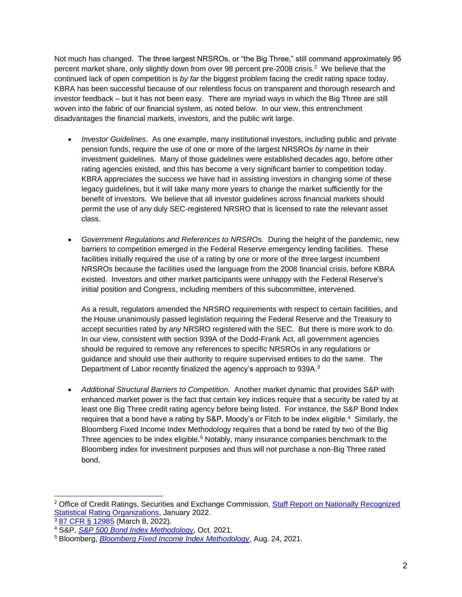Not much has changed. The three largest NRSROs, or "the Big Three," still command approximately 95 percent market share, only slightly down from over 98 percent pre-2008 crisis.<sup>2</sup> We believe that the continued lack of open competition is *by far* the biggest problem facing the credit rating space today. KBRA has been successful because of our relentless focus on transparent and thorough research and investor feedback – but it has not been easy. There are myriad ways in which the Big Three are still woven into the fabric of our financial system, as noted below. In our view, this entrenchment disadvantages the financial markets, investors, and the public writ large.

- *Investor Guidelines*. As one example, many institutional investors, including public and private pension funds, require the use of one or more of the largest NRSROs *by name* in their investment guidelines. Many of those guidelines were established decades ago, before other rating agencies existed, and this has become a very significant barrier to competition today. KBRA appreciates the success we have had in assisting investors in changing some of these legacy guidelines, but it will take many more years to change the market sufficiently for the benefit of investors. We believe that all investor guidelines across financial markets should permit the use of any duly SEC-registered NRSRO that is licensed to rate the relevant asset class.
- *Government Regulations and References to NRSROs.* During the height of the pandemic, new barriers to competition emerged in the Federal Reserve emergency lending facilities. These facilities initially required the use of a rating by one or more of the three largest incumbent NRSROs because the facilities used the language from the 2008 financial crisis, before KBRA existed. Investors and other market participants were unhappy with the Federal Reserve's initial position and Congress, including members of this subcommittee, intervened.

As a result, regulators amended the NRSRO requirements with respect to certain facilities, and the House unanimously passed legislation requiring the Federal Reserve and the Treasury to accept securities rated by *any* NRSRO registered with the SEC. But there is more work to do. In our view, consistent with section 939A of the Dodd-Frank Act, all government agencies should be required to remove any references to specific NRSROs in any regulations or guidance and should use their authority to require supervised entities to do the same. The Department of Labor recently finalized the agency's approach to 939A.<sup>3</sup>

• *Additional Structural Barriers to Competition*. Another market dynamic that provides S&P with enhanced market power is the fact that certain key indices require that a security be rated by at least one Big Three credit rating agency before being listed. For instance, the S&P Bond Index requires that a bond have a rating by S&P, Moody's or Fitch to be index eligible. <sup>4</sup> Similarly, the Bloomberg Fixed Income Index Methodology requires that a bond be rated by two of the Big Three agencies to be index eligible.<sup>5</sup> Notably, many insurance companies benchmark to the Bloomberg index for investment purposes and thus will not purchase a non-Big Three rated bond.

<sup>&</sup>lt;sup>2</sup> Office of Credit Ratings, Securities and Exchange Commission, Staff Report on Nationally Recognized [Statistical Rating Organizations,](https://www.sec.gov/files/2022-ocr-staff-report.pdf) January 2022.

<sup>3</sup>[87 CFR § 12985](https://www.federalregister.gov/documents/2022/03/08/2022-04866/amendments-to-class-prohibited-transaction-exemptions-to-remove-credit-ratings-pursuant-to-the) (March 8, 2022).

<sup>4</sup> S&P, *[S&P 500 Bond Index Methodology](https://www.spglobal.com/spdji/en/documents/methodologies/methodology-sp-500-bond-index.pdf)*, Oct. 2021.

<sup>5</sup> Bloomberg, *[Bloomberg Fixed Income Index Methodology](https://assets.bbhub.io/professional/sites/27/Fixed-Income-Index-Methodology.pdf)*, Aug. 24, 2021.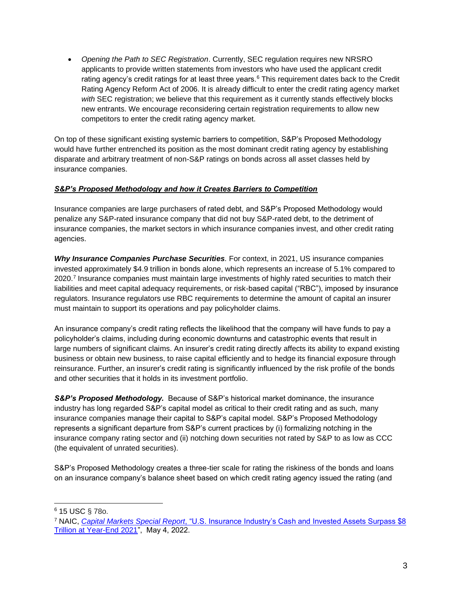• *Opening the Path to SEC Registration*. Currently, SEC regulation requires new NRSRO applicants to provide written statements from investors who have used the applicant credit rating agency's credit ratings for at least three years. $6$  This requirement dates back to the Credit Rating Agency Reform Act of 2006. It is already difficult to enter the credit rating agency market *with* SEC registration; we believe that this requirement as it currently stands effectively blocks new entrants. We encourage reconsidering certain registration requirements to allow new competitors to enter the credit rating agency market.

On top of these significant existing systemic barriers to competition, S&P's Proposed Methodology would have further entrenched its position as the most dominant credit rating agency by establishing disparate and arbitrary treatment of non-S&P ratings on bonds across all asset classes held by insurance companies.

## *S&P's Proposed Methodology and how it Creates Barriers to Competition*

Insurance companies are large purchasers of rated debt, and S&P's Proposed Methodology would penalize any S&P-rated insurance company that did not buy S&P-rated debt, to the detriment of insurance companies, the market sectors in which insurance companies invest, and other credit rating agencies.

*Why Insurance Companies Purchase Securities. For context, in 2021, US insurance companies* invested approximately \$4.9 trillion in bonds alone, which represents an increase of 5.1% compared to 2020.<sup>7</sup> Insurance companies must maintain large investments of highly rated securities to match their liabilities and meet capital adequacy requirements, or risk-based capital ("RBC"), imposed by insurance regulators. Insurance regulators use RBC requirements to determine the amount of capital an insurer must maintain to support its operations and pay policyholder claims.

An insurance company's credit rating reflects the likelihood that the company will have funds to pay a policyholder's claims, including during economic downturns and catastrophic events that result in large numbers of significant claims. An insurer's credit rating directly affects its ability to expand existing business or obtain new business, to raise capital efficiently and to hedge its financial exposure through reinsurance. Further, an insurer's credit rating is significantly influenced by the risk profile of the bonds and other securities that it holds in its investment portfolio.

*S&P's Proposed Methodology.* Because of S&P's historical market dominance, the insurance industry has long regarded S&P's capital model as critical to their credit rating and as such, many insurance companies manage their capital to S&P's capital model. S&P's Proposed Methodology represents a significant departure from S&P's current practices by (i) formalizing notching in the insurance company rating sector and (ii) notching down securities not rated by S&P to as low as CCC (the equivalent of unrated securities).

S&P's Proposed Methodology creates a three-tier scale for rating the riskiness of the bonds and loans on an insurance company's balance sheet based on which credit rating agency issued the rating (and

<sup>6</sup> 15 USC § 78o.

<sup>7</sup> NAIC, *Capital Markets Special Report*, ["U.S. Insurance Industry's Cash and Invested Assets Surpass \\$8](https://content.naic.org/sites/default/files/capital-markets-special-reports-asset-mix-ye2021.pdf)  [Trillion at Year-End 2021"](https://content.naic.org/sites/default/files/capital-markets-special-reports-asset-mix-ye2021.pdf), May 4, 2022.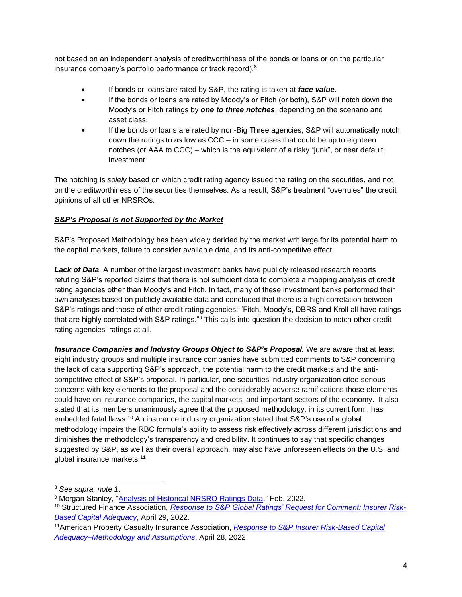not based on an independent analysis of creditworthiness of the bonds or loans or on the particular insurance company's portfolio performance or track record).<sup>8</sup>

- If bonds or loans are rated by S&P, the rating is taken at *face value*.
- If the bonds or loans are rated by Moody's or Fitch (or both), S&P will notch down the Moody's or Fitch ratings by *one to three notches*, depending on the scenario and asset class.
- If the bonds or loans are rated by non-Big Three agencies, S&P will automatically notch down the ratings to as low as CCC – in some cases that could be up to eighteen notches (or AAA to CCC) – which is the equivalent of a risky "junk", or near default, investment.

The notching is *solely* based on which credit rating agency issued the rating on the securities, and not on the creditworthiness of the securities themselves. As a result, S&P's treatment "overrules" the credit opinions of all other NRSROs.

## *S&P's Proposal is not Supported by the Market*

S&P's Proposed Methodology has been widely derided by the market writ large for its potential harm to the capital markets, failure to consider available data, and its anti-competitive effect.

*Lack of Data*. A number of the largest investment banks have publicly released research reports refuting S&P's reported claims that there is not sufficient data to complete a mapping analysis of credit rating agencies other than Moody's and Fitch. In fact, many of these investment banks performed their own analyses based on publicly available data and concluded that there is a high correlation between S&P's ratings and those of other credit rating agencies: "Fitch, Moody's, DBRS and Kroll all have ratings that are highly correlated with S&P ratings."<sup>9</sup> This calls into question the decision to notch other credit rating agencies' ratings at all.

*Insurance Companies and Industry Groups Object to S&P's Proposal.* We are aware that at least eight industry groups and multiple insurance companies have submitted comments to S&P concerning the lack of data supporting S&P's approach, the potential harm to the credit markets and the anticompetitive effect of S&P's proposal. In particular, one securities industry organization cited serious concerns with key elements to the proposal and the considerably adverse ramifications those elements could have on insurance companies, the capital markets, and important sectors of the economy. It also stated that its members unanimously agree that the proposed methodology, in its current form, has embedded fatal flaws.<sup>10</sup> An insurance industry organization stated that S&P's use of a global methodology impairs the RBC formula's ability to assess risk effectively across different jurisdictions and diminishes the methodology's transparency and credibility. It continues to say that specific changes suggested by S&P, as well as their overall approach, may also have unforeseen effects on the U.S. and global insurance markets.<sup>11</sup>

<sup>8</sup> *See supra, note 1*.

<sup>9</sup> Morgan Stanley, ["Analysis of Historical NRSRO Ratings Data.](https://mcusercontent.com/65ee38c99561aeba4a1f82919/files/ff9650b4-dfa7-2815-f41a-fa7a60d85fbf/Final_Morgan_Stanley_Report_18_.pdf)" Feb. 2022.

<sup>10</sup> Structured Finance Association, *[Response to S&P Global Ratings' Request for Comment: Insurer Risk-](https://structuredfinance.org/news/sfa-urges-sp-global-to-address-fatal-flaws-in-their-proposed-changes-to-insurer-ratings-criteria/)[Based Capital Adequacy](https://structuredfinance.org/news/sfa-urges-sp-global-to-address-fatal-flaws-in-their-proposed-changes-to-insurer-ratings-criteria/)*, April 29, 2022.

<sup>11</sup>American Property Casualty Insurance Association, *[Response to S&P Insurer Risk-Based Capital](https://mcusercontent.com/65ee38c99561aeba4a1f82919/files/e95bf1fa-27c9-bbd3-828b-a57175e69aee/APCIA_comments_on_SP_RBC_changes_4.28.22_24_1.pdf)  [Adequacy–Methodology and Assumptions](https://mcusercontent.com/65ee38c99561aeba4a1f82919/files/e95bf1fa-27c9-bbd3-828b-a57175e69aee/APCIA_comments_on_SP_RBC_changes_4.28.22_24_1.pdf)*, April 28, 2022.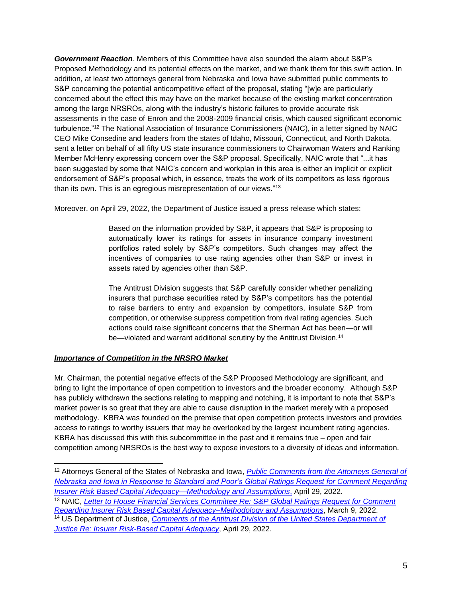*Government Reaction*. Members of this Committee have also sounded the alarm about S&P's Proposed Methodology and its potential effects on the market, and we thank them for this swift action. In addition, at least two attorneys general from Nebraska and Iowa have submitted public comments to S&P concerning the potential anticompetitive effect of the proposal, stating "[w]e are particularly concerned about the effect this may have on the market because of the existing market concentration among the large NRSROs, along with the industry's historic failures to provide accurate risk assessments in the case of Enron and the 2008-2009 financial crisis, which caused significant economic turbulence."<sup>12</sup> The National Association of Insurance Commissioners (NAIC), in a letter signed by NAIC CEO Mike Consedine and leaders from the states of Idaho, Missouri, Connecticut, and North Dakota, sent a letter on behalf of all fifty US state insurance commissioners to Chairwoman Waters and Ranking Member McHenry expressing concern over the S&P proposal. Specifically, NAIC wrote that "...it has been suggested by some that NAIC's concern and workplan in this area is either an implicit or explicit endorsement of S&P's proposal which, in essence, treats the work of its competitors as less rigorous than its own. This is an egregious misrepresentation of our views."<sup>13</sup>

Moreover, on April 29, 2022, the Department of Justice issued a press release which states:

Based on the information provided by S&P, it appears that S&P is proposing to automatically lower its ratings for assets in insurance company investment portfolios rated solely by S&P's competitors. Such changes may affect the incentives of companies to use rating agencies other than S&P or invest in assets rated by agencies other than S&P.

The Antitrust Division suggests that S&P carefully consider whether penalizing insurers that purchase securities rated by S&P's competitors has the potential to raise barriers to entry and expansion by competitors, insulate S&P from competition, or otherwise suppress competition from rival rating agencies. Such actions could raise significant concerns that the Sherman Act has been—or will be—violated and warrant additional scrutiny by the Antitrust Division.<sup>14</sup>

### *Importance of Competition in the NRSRO Market*

Mr. Chairman, the potential negative effects of the S&P Proposed Methodology are significant, and bring to light the importance of open competition to investors and the broader economy. Although S&P has publicly withdrawn the sections relating to mapping and notching, it is important to note that S&P's market power is so great that they are able to cause disruption in the market merely with a proposed methodology. KBRA was founded on the premise that open competition protects investors and provides access to ratings to worthy issuers that may be overlooked by the largest incumbent rating agencies. KBRA has discussed this with this subcommittee in the past and it remains true – open and fair competition among NRSROs is the best way to expose investors to a diversity of ideas and information.

<sup>12</sup> Attorneys General of the States of Nebraska and Iowa, *[Public Comments from the Attorneys General of](https://mcusercontent.com/65ee38c99561aeba4a1f82919/files/7ce5ea55-bd38-6955-48ca-8014af78630f/2022.04.29_NE_and_IA_AGO_Response_to_Standards_and_Poor_s_Global_Ratings_Request_for_Comment_Regarding_Insurer_Risk_Based_Capital_Adequacy_Methodology_and_Assumptions_61_.pdf)  [Nebraska and Iowa in Response to Standard and Poor's Global Ratings Request for](https://mcusercontent.com/65ee38c99561aeba4a1f82919/files/7ce5ea55-bd38-6955-48ca-8014af78630f/2022.04.29_NE_and_IA_AGO_Response_to_Standards_and_Poor_s_Global_Ratings_Request_for_Comment_Regarding_Insurer_Risk_Based_Capital_Adequacy_Methodology_and_Assumptions_61_.pdf) Comment Regarding [Insurer Risk Based Capital Adequacy—Methodology and Assumptions](https://mcusercontent.com/65ee38c99561aeba4a1f82919/files/7ce5ea55-bd38-6955-48ca-8014af78630f/2022.04.29_NE_and_IA_AGO_Response_to_Standards_and_Poor_s_Global_Ratings_Request_for_Comment_Regarding_Insurer_Risk_Based_Capital_Adequacy_Methodology_and_Assumptions_61_.pdf)*, April 29, 2022.

<sup>13</sup> NAIC, *[Letter to House Financial Services Committee Re: S&P Global Ratings Request for Comment](https://content.naic.org/sites/default/files/government-affairs-letter-s%26p-proposed-capital-model-house-financial-services-cmte-030922.pdf)  [Regarding Insurer Risk Based Capital Adequacy–Methodology and Assumptions](https://content.naic.org/sites/default/files/government-affairs-letter-s%26p-proposed-capital-model-house-financial-services-cmte-030922.pdf)*, March 9, 2022. <sup>14</sup> US Department of Justice, *[Comments of the Antitrust Division of the United States Department of](https://www.justice.gov/atr/page/file/1497956/download)* 

*[Justice Re: Insurer Risk-Based Capital Adequacy](https://www.justice.gov/atr/page/file/1497956/download)*, April 29, 2022.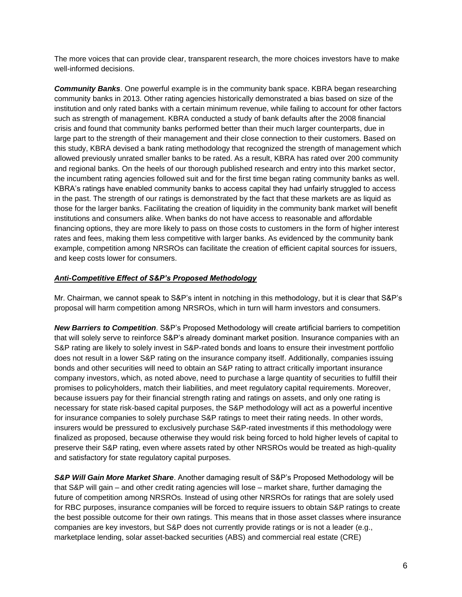The more voices that can provide clear, transparent research, the more choices investors have to make well-informed decisions.

**Community Banks**. One powerful example is in the community bank space. KBRA began researching community banks in 2013. Other rating agencies historically demonstrated a bias based on size of the institution and only rated banks with a certain minimum revenue, while failing to account for other factors such as strength of management. KBRA conducted a study of bank defaults after the 2008 financial crisis and found that community banks performed better than their much larger counterparts, due in large part to the strength of their management and their close connection to their customers. Based on this study, KBRA devised a bank rating methodology that recognized the strength of management which allowed previously unrated smaller banks to be rated. As a result, KBRA has rated over 200 community and regional banks. On the heels of our thorough published research and entry into this market sector, the incumbent rating agencies followed suit and for the first time began rating community banks as well. KBRA's ratings have enabled community banks to access capital they had unfairly struggled to access in the past. The strength of our ratings is demonstrated by the fact that these markets are as liquid as those for the larger banks. Facilitating the creation of liquidity in the community bank market will benefit institutions and consumers alike. When banks do not have access to reasonable and affordable financing options, they are more likely to pass on those costs to customers in the form of higher interest rates and fees, making them less competitive with larger banks. As evidenced by the community bank example, competition among NRSROs can facilitate the creation of efficient capital sources for issuers, and keep costs lower for consumers.

#### *Anti-Competitive Effect of S&P's Proposed Methodology*

Mr. Chairman, we cannot speak to S&P's intent in notching in this methodology, but it is clear that S&P's proposal will harm competition among NRSROs, which in turn will harm investors and consumers.

*New Barriers to Competition*. S&P's Proposed Methodology will create artificial barriers to competition that will solely serve to reinforce S&P's already dominant market position. Insurance companies with an S&P rating are likely to solely invest in S&P-rated bonds and loans to ensure their investment portfolio does not result in a lower S&P rating on the insurance company itself. Additionally, companies issuing bonds and other securities will need to obtain an S&P rating to attract critically important insurance company investors, which, as noted above, need to purchase a large quantity of securities to fulfill their promises to policyholders, match their liabilities, and meet regulatory capital requirements. Moreover, because issuers pay for their financial strength rating and ratings on assets, and only one rating is necessary for state risk-based capital purposes, the S&P methodology will act as a powerful incentive for insurance companies to solely purchase S&P ratings to meet their rating needs. In other words, insurers would be pressured to exclusively purchase S&P-rated investments if this methodology were finalized as proposed, because otherwise they would risk being forced to hold higher levels of capital to preserve their S&P rating, even where assets rated by other NRSROs would be treated as high-quality and satisfactory for state regulatory capital purposes.

*S&P Will Gain More Market Share*. Another damaging result of S&P's Proposed Methodology will be that S&P will gain – and other credit rating agencies will lose – market share, further damaging the future of competition among NRSROs. Instead of using other NRSROs for ratings that are solely used for RBC purposes, insurance companies will be forced to require issuers to obtain S&P ratings to create the best possible outcome for their own ratings. This means that in those asset classes where insurance companies are key investors, but S&P does not currently provide ratings or is not a leader (e.g., marketplace lending, solar asset-backed securities (ABS) and commercial real estate (CRE)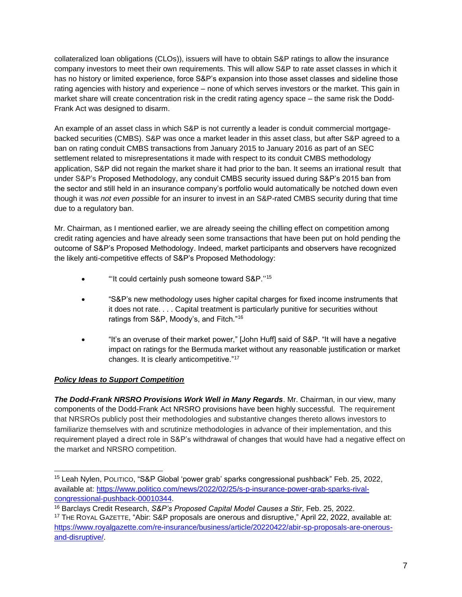collateralized loan obligations (CLOs)), issuers will have to obtain S&P ratings to allow the insurance company investors to meet their own requirements. This will allow S&P to rate asset classes in which it has no history or limited experience, force S&P's expansion into those asset classes and sideline those rating agencies with history and experience – none of which serves investors or the market. This gain in market share will create concentration risk in the credit rating agency space – the same risk the Dodd-Frank Act was designed to disarm.

An example of an asset class in which S&P is not currently a leader is conduit commercial mortgagebacked securities (CMBS). S&P was once a market leader in this asset class, but after S&P agreed to a ban on rating conduit CMBS transactions from January 2015 to January 2016 as part of an SEC settlement related to misrepresentations it made with respect to its conduit CMBS methodology application, S&P did not regain the market share it had prior to the ban. It seems an irrational result that under S&P's Proposed Methodology, any conduit CMBS security issued during S&P's 2015 ban from the sector and still held in an insurance company's portfolio would automatically be notched down even though it was *not even possible* for an insurer to invest in an S&P-rated CMBS security during that time due to a regulatory ban.

Mr. Chairman, as I mentioned earlier, we are already seeing the chilling effect on competition among credit rating agencies and have already seen some transactions that have been put on hold pending the outcome of S&P's Proposed Methodology. Indeed, market participants and observers have recognized the likely anti-competitive effects of S&P's Proposed Methodology:

- "It could certainly push someone toward S&P."<sup>15</sup>
- "S&P's new methodology uses higher capital charges for fixed income instruments that it does not rate. . . . Capital treatment is particularly punitive for securities without ratings from S&P, Moody's, and Fitch."<sup>16</sup>
- "It's an overuse of their market power," [John Huff] said of S&P. "It will have a negative impact on ratings for the Bermuda market without any reasonable justification or market changes. It is clearly anticompetitive."<sup>17</sup>

# *Policy Ideas to Support Competition*

*The Dodd-Frank NRSRO Provisions Work Well in Many Regards*. Mr. Chairman, in our view, many components of the Dodd-Frank Act NRSRO provisions have been highly successful. The requirement that NRSROs publicly post their methodologies and substantive changes thereto allows investors to familiarize themselves with and scrutinize methodologies in advance of their implementation, and this requirement played a direct role in S&P's withdrawal of changes that would have had a negative effect on the market and NRSRO competition.

<sup>15</sup> Leah Nylen, POLITICO, "S&P Global 'power grab' sparks congressional pushback" Feb. 25, 2022, available at[:](https://www.politico.com/news/2022/02/25/s-p-insurance-power-grab-sparks-rival-congressional-pushback-00010344) [https://www.politico.com/news/2022/02/25/s-p-insurance-power-grab-sparks-rival](https://www.politico.com/news/2022/02/25/s-p-insurance-power-grab-sparks-rival-congressional-pushback-00010344)[congressional-pushback-00010344.](https://www.politico.com/news/2022/02/25/s-p-insurance-power-grab-sparks-rival-congressional-pushback-00010344)

<sup>16</sup> Barclays Credit Research, *S&P's Proposed Capital Model Causes a Stir*, Feb. 25, 2022.

<sup>&</sup>lt;sup>17</sup> THE ROYAL GAZETTE, "Abir: S&P proposals are onerous and disruptive," April 22, 2022, available at: [https://www.royalgazette.com/re-insurance/business/article/20220422/abir-sp-proposals-are-onerous](https://nam11.safelinks.protection.outlook.com/?url=https%3A%2F%2Fwww.royalgazette.com%2Fre-insurance%2Fbusiness%2Farticle%2F20220422%2Fabir-sp-proposals-are-onerous-and-disruptive%2F&data=05%7C01%7Czach%40mindsetdc.com%7C2984b3ef640f41c385c108da327a6905%7C78a5447cc34a46b1a0ceee14f003ea49%7C1%7C1%7C637877798616344437%7CUnknown%7CTWFpbGZsb3d8eyJWIjoiMC4wLjAwMDAiLCJQIjoiV2luMzIiLCJBTiI6Ik1haWwiLCJXVCI6Mn0%3D%7C0%7C%7C%7C&sdata=MmY3Oqw1PEqxqzrEx4Hk4eaBIGiO7%2BGxFPyLrdPqUlc%3D&reserved=0)[and-disruptive/.](https://nam11.safelinks.protection.outlook.com/?url=https%3A%2F%2Fwww.royalgazette.com%2Fre-insurance%2Fbusiness%2Farticle%2F20220422%2Fabir-sp-proposals-are-onerous-and-disruptive%2F&data=05%7C01%7Czach%40mindsetdc.com%7C2984b3ef640f41c385c108da327a6905%7C78a5447cc34a46b1a0ceee14f003ea49%7C1%7C1%7C637877798616344437%7CUnknown%7CTWFpbGZsb3d8eyJWIjoiMC4wLjAwMDAiLCJQIjoiV2luMzIiLCJBTiI6Ik1haWwiLCJXVCI6Mn0%3D%7C0%7C%7C%7C&sdata=MmY3Oqw1PEqxqzrEx4Hk4eaBIGiO7%2BGxFPyLrdPqUlc%3D&reserved=0)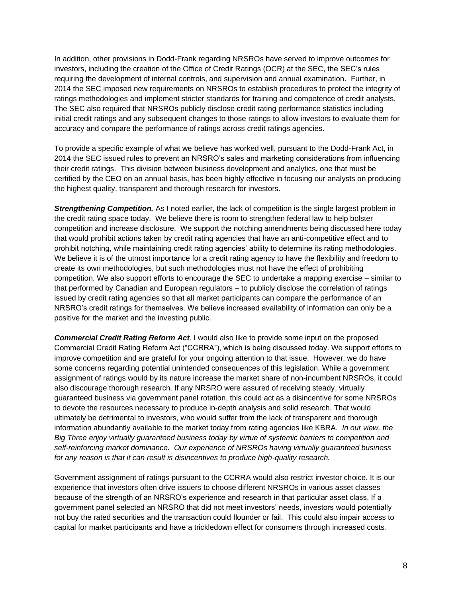In addition, other provisions in Dodd-Frank regarding NRSROs have served to improve outcomes for investors, including the creation of the Office of Credit Ratings (OCR) at the SEC, the SEC's rules requiring the development of internal controls, and supervision and annual examination. Further, in 2014 the SEC imposed new requirements on NRSROs to establish procedures to protect the integrity of ratings methodologies and implement stricter standards for training and competence of credit analysts. The SEC also required that NRSROs publicly disclose credit rating performance statistics including initial credit ratings and any subsequent changes to those ratings to allow investors to evaluate them for accuracy and compare the performance of ratings across credit ratings agencies.

To provide a specific example of what we believe has worked well, pursuant to the Dodd-Frank Act, in 2014 the SEC issued rules to prevent an NRSRO's sales and marketing considerations from influencing their credit ratings. This division between business development and analytics, one that must be certified by the CEO on an annual basis, has been highly effective in focusing our analysts on producing the highest quality, transparent and thorough research for investors.

**Strengthening Competition.** As I noted earlier, the lack of competition is the single largest problem in the credit rating space today. We believe there is room to strengthen federal law to help bolster competition and increase disclosure. We support the notching amendments being discussed here today that would prohibit actions taken by credit rating agencies that have an anti-competitive effect and to prohibit notching, while maintaining credit rating agencies' ability to determine its rating methodologies. We believe it is of the utmost importance for a credit rating agency to have the flexibility and freedom to create its own methodologies, but such methodologies must not have the effect of prohibiting competition. We also support efforts to encourage the SEC to undertake a mapping exercise – similar to that performed by Canadian and European regulators – to publicly disclose the correlation of ratings issued by credit rating agencies so that all market participants can compare the performance of an NRSRO's credit ratings for themselves. We believe increased availability of information can only be a positive for the market and the investing public.

*Commercial Credit Rating Reform Act*. I would also like to provide some input on the proposed Commercial Credit Rating Reform Act ("CCRRA"), which is being discussed today. We support efforts to improve competition and are grateful for your ongoing attention to that issue. However, we do have some concerns regarding potential unintended consequences of this legislation. While a government assignment of ratings would by its nature increase the market share of non-incumbent NRSROs, it could also discourage thorough research. If any NRSRO were assured of receiving steady, virtually guaranteed business via government panel rotation, this could act as a disincentive for some NRSROs to devote the resources necessary to produce in-depth analysis and solid research. That would ultimately be detrimental to investors, who would suffer from the lack of transparent and thorough information abundantly available to the market today from rating agencies like KBRA. *In our view, the Big Three enjoy virtually guaranteed business today by virtue of systemic barriers to competition and self-reinforcing market dominance. Our experience of NRSROs having virtually guaranteed business for any reason is that it can result is disincentives to produce high-quality research.* 

Government assignment of ratings pursuant to the CCRRA would also restrict investor choice. It is our experience that investors often drive issuers to choose different NRSROs in various asset classes because of the strength of an NRSRO's experience and research in that particular asset class. If a government panel selected an NRSRO that did not meet investors' needs, investors would potentially not buy the rated securities and the transaction could flounder or fail. This could also impair access to capital for market participants and have a trickledown effect for consumers through increased costs.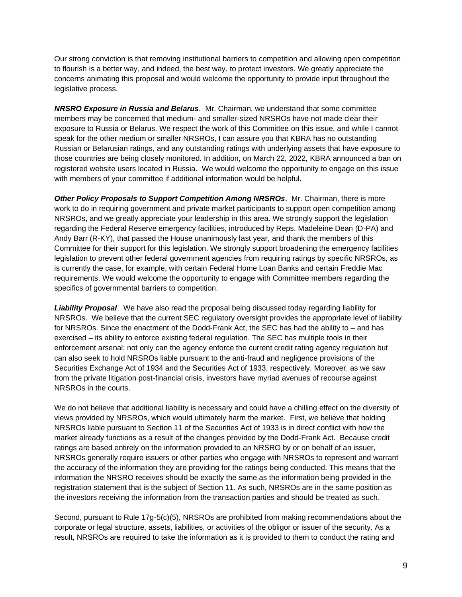Our strong conviction is that removing institutional barriers to competition and allowing open competition to flourish is a better way, and indeed, the best way, to protect investors. We greatly appreciate the concerns animating this proposal and would welcome the opportunity to provide input throughout the legislative process.

*NRSRO Exposure in Russia and Belarus*. Mr. Chairman, we understand that some committee members may be concerned that medium- and smaller-sized NRSROs have not made clear their exposure to Russia or Belarus. We respect the work of this Committee on this issue, and while I cannot speak for the other medium or smaller NRSROs, I can assure you that KBRA has no outstanding Russian or Belarusian ratings, and any outstanding ratings with underlying assets that have exposure to those countries are being closely monitored. In addition, on March 22, 2022, KBRA announced a ban on registered website users located in Russia. We would welcome the opportunity to engage on this issue with members of your committee if additional information would be helpful.

*Other Policy Proposals to Support Competition Among NRSROs*. Mr. Chairman, there is more work to do in requiring government and private market participants to support open competition among NRSROs, and we greatly appreciate your leadership in this area. We strongly support the legislation regarding the Federal Reserve emergency facilities, introduced by Reps. Madeleine Dean (D-PA) and Andy Barr (R-KY), that passed the House unanimously last year, and thank the members of this Committee for their support for this legislation. We strongly support broadening the emergency facilities legislation to prevent other federal government agencies from requiring ratings by specific NRSROs, as is currently the case, for example, with certain Federal Home Loan Banks and certain Freddie Mac requirements. We would welcome the opportunity to engage with Committee members regarding the specifics of governmental barriers to competition.

*Liability Proposal*. We have also read the proposal being discussed today regarding liability for NRSROs. We believe that the current SEC regulatory oversight provides the appropriate level of liability for NRSROs. Since the enactment of the Dodd-Frank Act, the SEC has had the ability to – and has exercised – its ability to enforce existing federal regulation. The SEC has multiple tools in their enforcement arsenal; not only can the agency enforce the current credit rating agency regulation but can also seek to hold NRSROs liable pursuant to the anti-fraud and negligence provisions of the Securities Exchange Act of 1934 and the Securities Act of 1933, respectively. Moreover, as we saw from the private litigation post-financial crisis, investors have myriad avenues of recourse against NRSROs in the courts.

We do not believe that additional liability is necessary and could have a chilling effect on the diversity of views provided by NRSROs, which would ultimately harm the market. First, we believe that holding NRSROs liable pursuant to Section 11 of the Securities Act of 1933 is in direct conflict with how the market already functions as a result of the changes provided by the Dodd-Frank Act. Because credit ratings are based entirely on the information provided to an NRSRO by or on behalf of an issuer, NRSROs generally require issuers or other parties who engage with NRSROs to represent and warrant the accuracy of the information they are providing for the ratings being conducted. This means that the information the NRSRO receives should be exactly the same as the information being provided in the registration statement that is the subject of Section 11. As such, NRSROs are in the same position as the investors receiving the information from the transaction parties and should be treated as such.

Second, pursuant to Rule 17g-5(c)(5), NRSROs are prohibited from making recommendations about the corporate or legal structure, assets, liabilities, or activities of the obligor or issuer of the security. As a result, NRSROs are required to take the information as it is provided to them to conduct the rating and